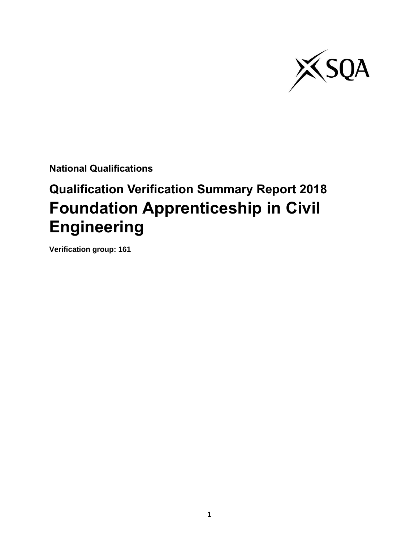

**National Qualifications**

# **Qualification Verification Summary Report 2018 Foundation Apprenticeship in Civil Engineering**

**Verification group: 161**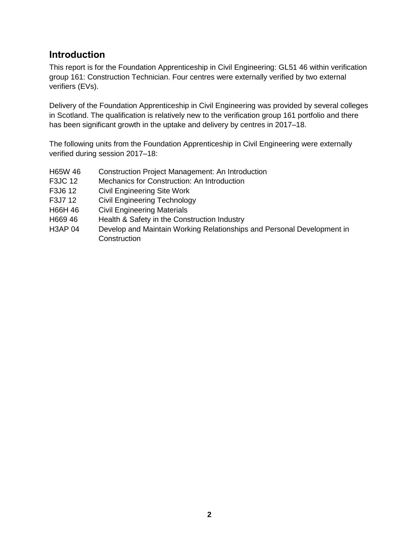### **Introduction**

This report is for the Foundation Apprenticeship in Civil Engineering: GL51 46 within verification group 161: Construction Technician. Four centres were externally verified by two external verifiers (EVs).

Delivery of the Foundation Apprenticeship in Civil Engineering was provided by several colleges in Scotland. The qualification is relatively new to the verification group 161 portfolio and there has been significant growth in the uptake and delivery by centres in 2017–18.

The following units from the Foundation Apprenticeship in Civil Engineering were externally verified during session 2017–18:

- H65W 46 Construction Project Management: An Introduction
- F3JC 12 Mechanics for Construction: An Introduction
- F3J6 12 Civil Engineering Site Work
- F3J7 12 Civil Engineering Technology
- H66H 46 Civil Engineering Materials
- H669 46 Health & Safety in the Construction Industry
- H3AP 04 Develop and Maintain Working Relationships and Personal Development in **Construction**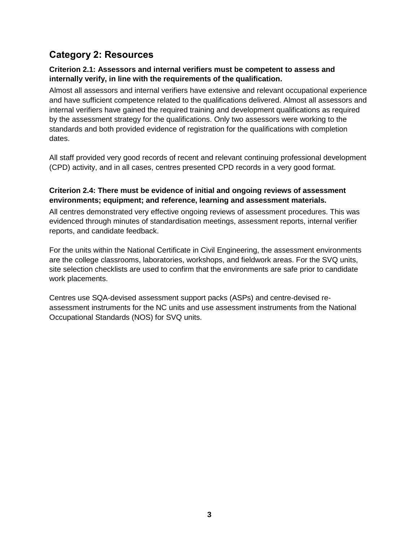## **Category 2: Resources**

#### **Criterion 2.1: Assessors and internal verifiers must be competent to assess and internally verify, in line with the requirements of the qualification.**

Almost all assessors and internal verifiers have extensive and relevant occupational experience and have sufficient competence related to the qualifications delivered. Almost all assessors and internal verifiers have gained the required training and development qualifications as required by the assessment strategy for the qualifications. Only two assessors were working to the standards and both provided evidence of registration for the qualifications with completion dates.

All staff provided very good records of recent and relevant continuing professional development (CPD) activity, and in all cases, centres presented CPD records in a very good format.

#### **Criterion 2.4: There must be evidence of initial and ongoing reviews of assessment environments; equipment; and reference, learning and assessment materials.**

All centres demonstrated very effective ongoing reviews of assessment procedures. This was evidenced through minutes of standardisation meetings, assessment reports, internal verifier reports, and candidate feedback.

For the units within the National Certificate in Civil Engineering, the assessment environments are the college classrooms, laboratories, workshops, and fieldwork areas. For the SVQ units, site selection checklists are used to confirm that the environments are safe prior to candidate work placements.

Centres use SQA-devised assessment support packs (ASPs) and centre-devised reassessment instruments for the NC units and use assessment instruments from the National Occupational Standards (NOS) for SVQ units.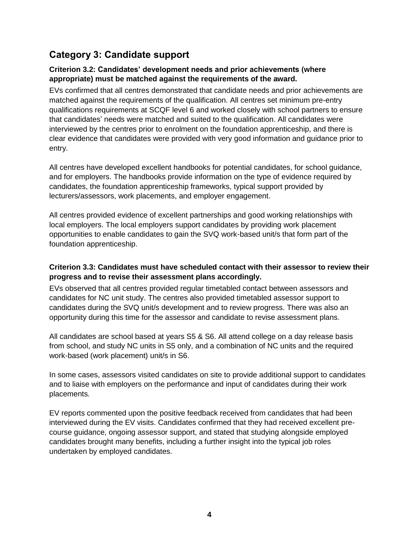# **Category 3: Candidate support**

#### **Criterion 3.2: Candidates' development needs and prior achievements (where appropriate) must be matched against the requirements of the award.**

EVs confirmed that all centres demonstrated that candidate needs and prior achievements are matched against the requirements of the qualification. All centres set minimum pre-entry qualifications requirements at SCQF level 6 and worked closely with school partners to ensure that candidates' needs were matched and suited to the qualification. All candidates were interviewed by the centres prior to enrolment on the foundation apprenticeship, and there is clear evidence that candidates were provided with very good information and guidance prior to entry.

All centres have developed excellent handbooks for potential candidates, for school guidance, and for employers. The handbooks provide information on the type of evidence required by candidates, the foundation apprenticeship frameworks, typical support provided by lecturers/assessors, work placements, and employer engagement.

All centres provided evidence of excellent partnerships and good working relationships with local employers. The local employers support candidates by providing work placement opportunities to enable candidates to gain the SVQ work-based unit/s that form part of the foundation apprenticeship.

#### **Criterion 3.3: Candidates must have scheduled contact with their assessor to review their progress and to revise their assessment plans accordingly.**

EVs observed that all centres provided regular timetabled contact between assessors and candidates for NC unit study. The centres also provided timetabled assessor support to candidates during the SVQ unit/s development and to review progress. There was also an opportunity during this time for the assessor and candidate to revise assessment plans.

All candidates are school based at years S5 & S6. All attend college on a day release basis from school, and study NC units in S5 only, and a combination of NC units and the required work-based (work placement) unit/s in S6.

In some cases, assessors visited candidates on site to provide additional support to candidates and to liaise with employers on the performance and input of candidates during their work placements.

EV reports commented upon the positive feedback received from candidates that had been interviewed during the EV visits. Candidates confirmed that they had received excellent precourse guidance, ongoing assessor support, and stated that studying alongside employed candidates brought many benefits, including a further insight into the typical job roles undertaken by employed candidates.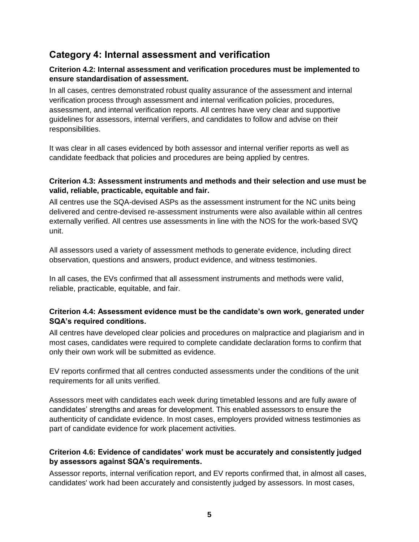## **Category 4: Internal assessment and verification**

#### **Criterion 4.2: Internal assessment and verification procedures must be implemented to ensure standardisation of assessment.**

In all cases, centres demonstrated robust quality assurance of the assessment and internal verification process through assessment and internal verification policies, procedures, assessment, and internal verification reports. All centres have very clear and supportive guidelines for assessors, internal verifiers, and candidates to follow and advise on their responsibilities.

It was clear in all cases evidenced by both assessor and internal verifier reports as well as candidate feedback that policies and procedures are being applied by centres.

#### **Criterion 4.3: Assessment instruments and methods and their selection and use must be valid, reliable, practicable, equitable and fair.**

All centres use the SQA-devised ASPs as the assessment instrument for the NC units being delivered and centre-devised re-assessment instruments were also available within all centres externally verified. All centres use assessments in line with the NOS for the work-based SVQ unit.

All assessors used a variety of assessment methods to generate evidence, including direct observation, questions and answers, product evidence, and witness testimonies.

In all cases, the EVs confirmed that all assessment instruments and methods were valid, reliable, practicable, equitable, and fair.

#### **Criterion 4.4: Assessment evidence must be the candidate's own work, generated under SQA's required conditions.**

All centres have developed clear policies and procedures on malpractice and plagiarism and in most cases, candidates were required to complete candidate declaration forms to confirm that only their own work will be submitted as evidence.

EV reports confirmed that all centres conducted assessments under the conditions of the unit requirements for all units verified.

Assessors meet with candidates each week during timetabled lessons and are fully aware of candidates' strengths and areas for development. This enabled assessors to ensure the authenticity of candidate evidence. In most cases, employers provided witness testimonies as part of candidate evidence for work placement activities.

#### **Criterion 4.6: Evidence of candidates' work must be accurately and consistently judged by assessors against SQA's requirements.**

Assessor reports, internal verification report, and EV reports confirmed that, in almost all cases, candidates' work had been accurately and consistently judged by assessors. In most cases,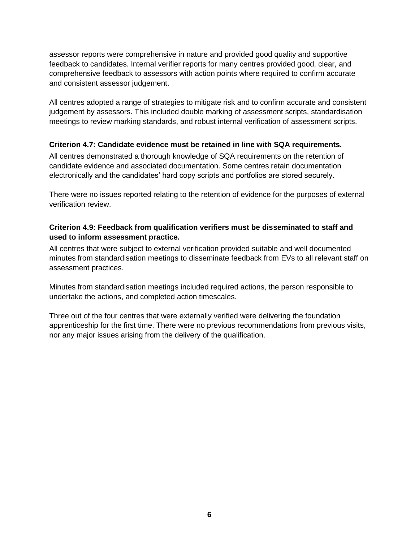assessor reports were comprehensive in nature and provided good quality and supportive feedback to candidates. Internal verifier reports for many centres provided good, clear, and comprehensive feedback to assessors with action points where required to confirm accurate and consistent assessor judgement.

All centres adopted a range of strategies to mitigate risk and to confirm accurate and consistent judgement by assessors. This included double marking of assessment scripts, standardisation meetings to review marking standards, and robust internal verification of assessment scripts.

#### **Criterion 4.7: Candidate evidence must be retained in line with SQA requirements.**

All centres demonstrated a thorough knowledge of SQA requirements on the retention of candidate evidence and associated documentation. Some centres retain documentation electronically and the candidates' hard copy scripts and portfolios are stored securely.

There were no issues reported relating to the retention of evidence for the purposes of external verification review.

#### **Criterion 4.9: Feedback from qualification verifiers must be disseminated to staff and used to inform assessment practice.**

All centres that were subject to external verification provided suitable and well documented minutes from standardisation meetings to disseminate feedback from EVs to all relevant staff on assessment practices.

Minutes from standardisation meetings included required actions, the person responsible to undertake the actions, and completed action timescales.

Three out of the four centres that were externally verified were delivering the foundation apprenticeship for the first time. There were no previous recommendations from previous visits, nor any major issues arising from the delivery of the qualification.